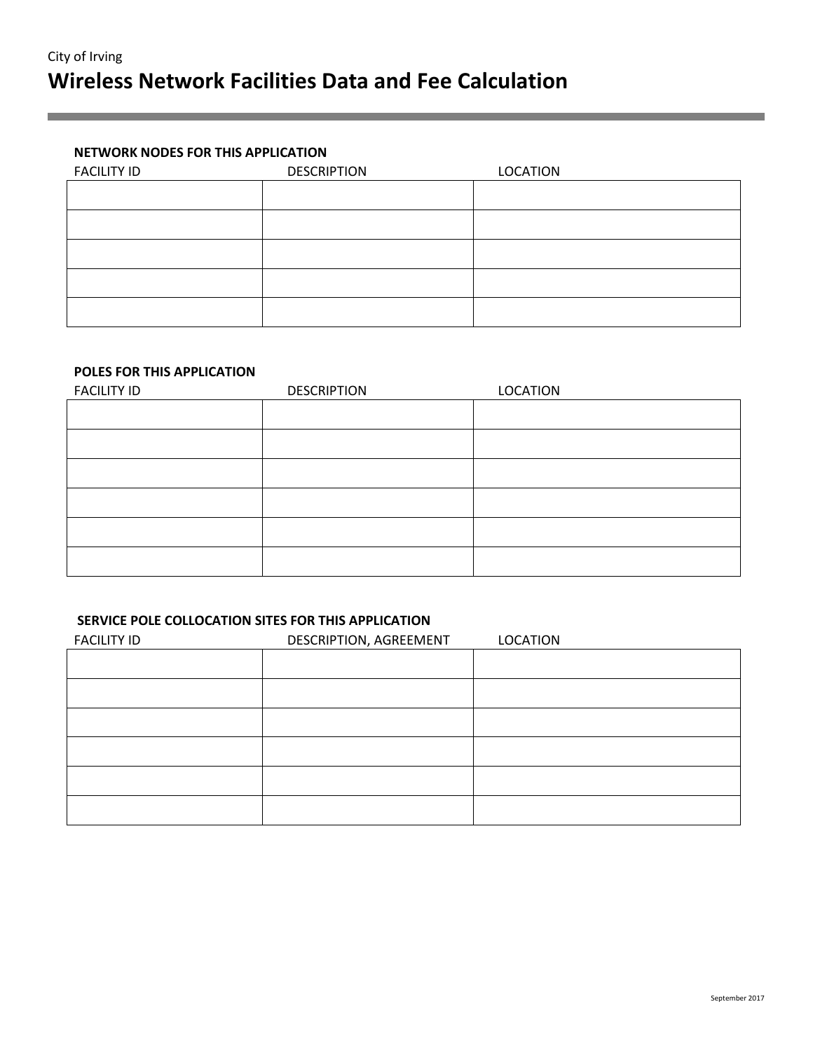## **NETWORK NODES FOR THIS APPLICATION**

| <b>FACILITY ID</b> | <b>DESCRIPTION</b> | <b>LOCATION</b> |
|--------------------|--------------------|-----------------|
|                    |                    |                 |
|                    |                    |                 |
|                    |                    |                 |
|                    |                    |                 |
|                    |                    |                 |
|                    |                    |                 |

## **POLES FOR THIS APPLICATION**

| <b>FACILITY ID</b> | <b>DESCRIPTION</b> | <b>LOCATION</b> |
|--------------------|--------------------|-----------------|
|                    |                    |                 |
|                    |                    |                 |
|                    |                    |                 |
|                    |                    |                 |
|                    |                    |                 |
|                    |                    |                 |

## **SERVICE POLE COLLOCATION SITES FOR THIS APPLICATION**

| <b>FACILITY ID</b> | DESCRIPTION, AGREEMENT | <b>LOCATION</b> |
|--------------------|------------------------|-----------------|
|                    |                        |                 |
|                    |                        |                 |
|                    |                        |                 |
|                    |                        |                 |
|                    |                        |                 |
|                    |                        |                 |
|                    |                        |                 |